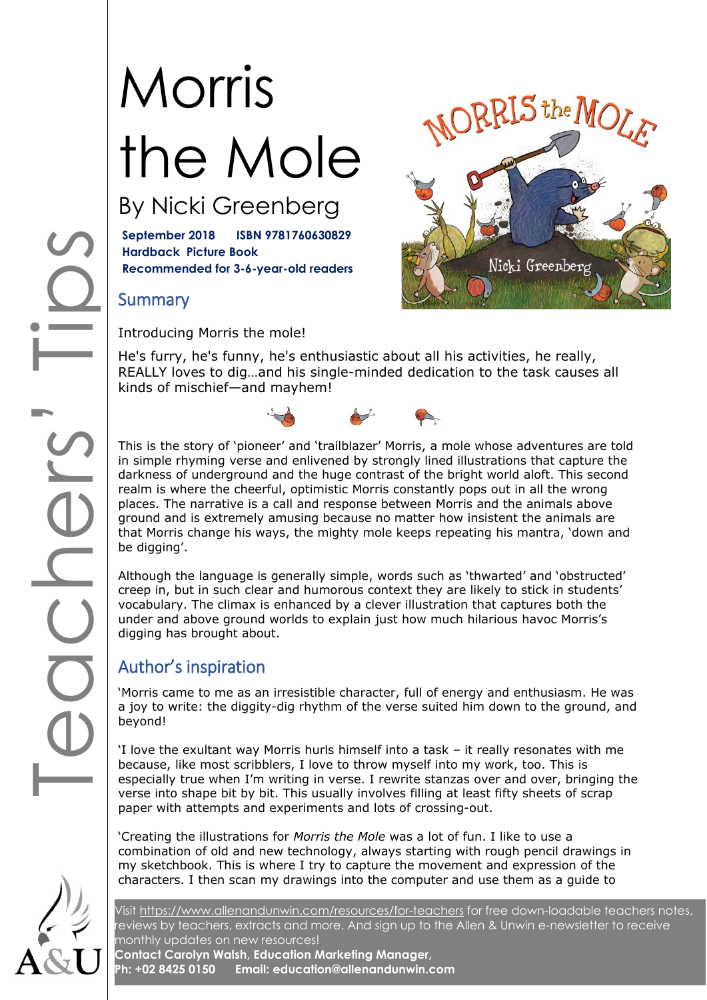# Morris the Mole By Nicki Greenberg

**September 2018 ISBN 9781760630829 Hardback Picture Book**

**Recommended for 3-6-year-old readers**

### **Summary**

Introducing Morris the mole!

He's furry, he's funny, he's enthusiastic about all his activities, he really, REALLY loves to dig…and his single-minded dedication to the task causes all kinds of mischief—and mayhem!



This is the story of 'pioneer' and 'trailblazer' Morris, a mole whose adventures are told in simple rhyming verse and enlivened by strongly lined illustrations that capture the darkness of underground and the huge contrast of the bright world aloft. This second realm is where the cheerful, optimistic Morris constantly pops out in all the wrong places. The narrative is a call and response between Morris and the animals above ground and is extremely amusing because no matter how insistent the animals are that Morris change his ways, the mighty mole keeps repeating his mantra, 'down and be digging'.

Although the language is generally simple, words such as 'thwarted' and 'obstructed' creep in, but in such clear and humorous context they are likely to stick in students' vocabulary. The climax is enhanced by a clever illustration that captures both the under and above ground worlds to explain just how much hilarious havoc Morris's digging has brought about.

### Author's inspiration

'Morris came to me as an irresistible character, full of energy and enthusiasm. He was a joy to write: the diggity-dig rhythm of the verse suited him down to the ground, and beyond!

'I love the exultant way Morris hurls himself into a task – it really resonates with me because, like most scribblers, I love to throw myself into my work, too. This is especially true when I'm writing in verse. I rewrite stanzas over and over, bringing the verse into shape bit by bit. This usually involves filling at least fifty sheets of scrap paper with attempts and experiments and lots of crossing-out.

'Creating the illustrations for *Morris the Mole* was a lot of fun. I like to use a combination of old and new technology, always starting with rough pencil drawings in my sketchbook. This is where I try to capture the movement and expression of the characters. I then scan my drawings into the computer and use them as a guide to

Visit<https://www.allenandunwin.com/resources/for-teachers> for free down-loadable teachers notes, reviews by teachers, extracts and more. And sign up to the Allen & Unwin e-newsletter to receive monthly updates on new resources!

**Contact Carolyn Walsh, Education Marketing Manager, Ph: +02 8425 0150 Email: education@allenandunwin.com**



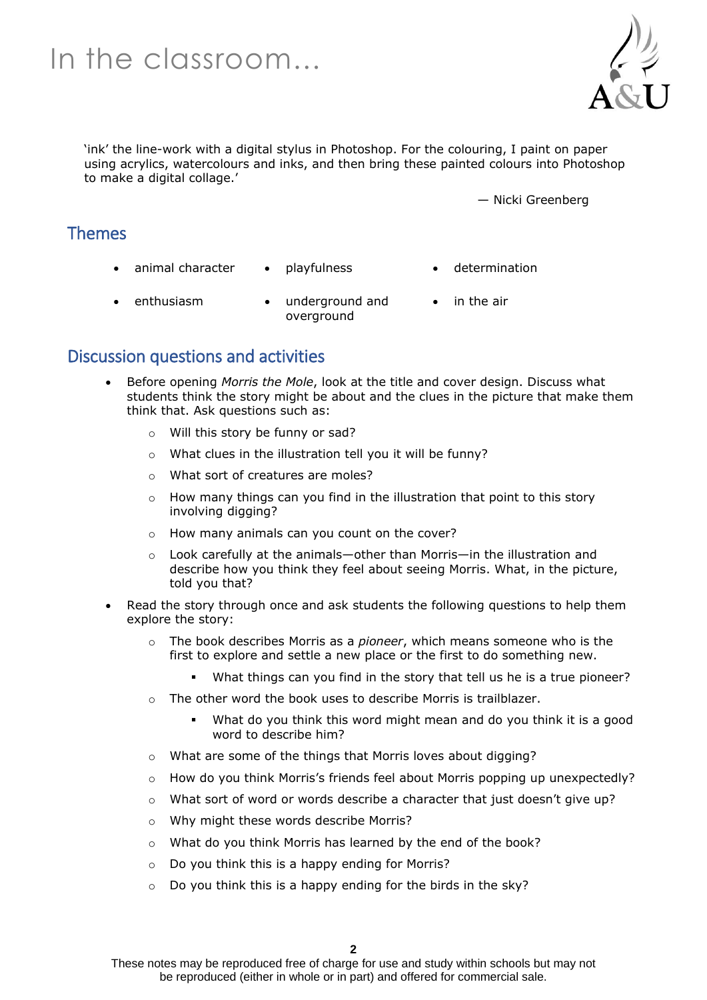### In the classroom…



'ink' the line-work with a digital stylus in Photoshop. For the colouring, I paint on paper using acrylics, watercolours and inks, and then bring these painted colours into Photoshop to make a digital collage.'

— Nicki Greenberg

#### Themes

- animal character playfulness determination
- 
- enthusiasm underground and overground
- in the air

#### Discussion questions and activities

- Before opening *Morris the Mole*, look at the title and cover design. Discuss what students think the story might be about and the clues in the picture that make them think that. Ask questions such as:
	- o Will this story be funny or sad?
	- o What clues in the illustration tell you it will be funny?
	- o What sort of creatures are moles?
	- $\circ$  How many things can you find in the illustration that point to this story involving digging?
	- o How many animals can you count on the cover?
	- $\circ$  Look carefully at the animals—other than Morris—in the illustration and describe how you think they feel about seeing Morris. What, in the picture, told you that?
- Read the story through once and ask students the following questions to help them explore the story:
	- o The book describes Morris as a *pioneer*, which means someone who is the first to explore and settle a new place or the first to do something new.
		- What things can you find in the story that tell us he is a true pioneer?
	- $\circ$  The other word the book uses to describe Morris is trailblazer.
		- What do you think this word might mean and do you think it is a good word to describe him?
	- o What are some of the things that Morris loves about digging?
	- o How do you think Morris's friends feel about Morris popping up unexpectedly?
	- o What sort of word or words describe a character that just doesn't give up?
	- o Why might these words describe Morris?
	- o What do you think Morris has learned by the end of the book?
	- o Do you think this is a happy ending for Morris?
	- o Do you think this is a happy ending for the birds in the sky?

These notes may be reproduced free of charge for use and study within schools but may not be reproduced (either in whole or in part) and offered for commercial sale.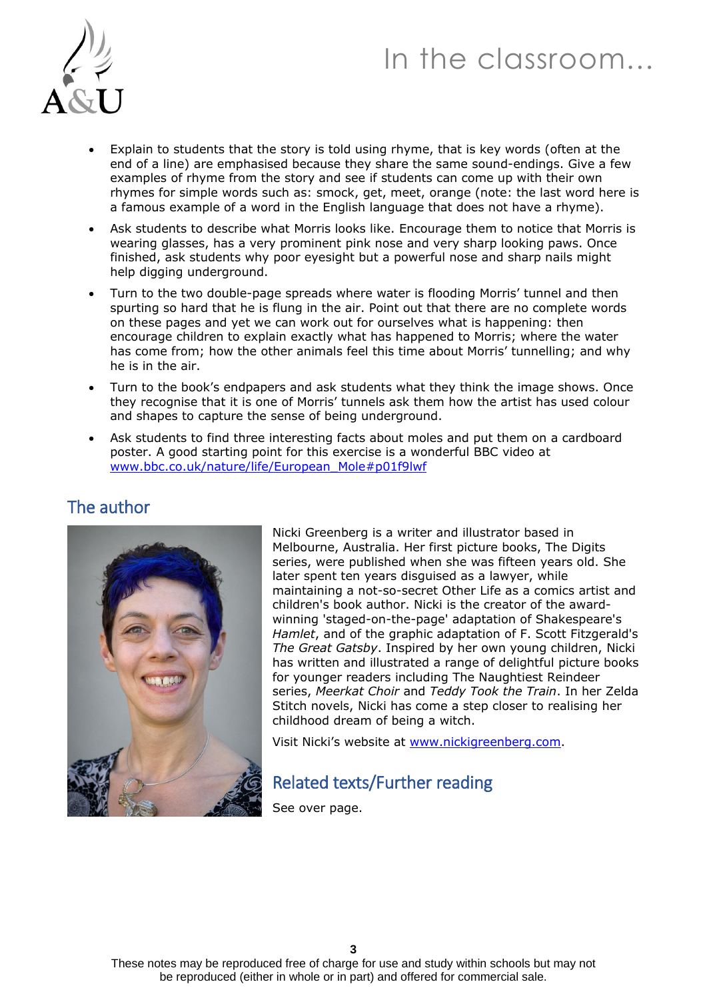### In the classroom…



- Explain to students that the story is told using rhyme, that is key words (often at the end of a line) are emphasised because they share the same sound-endings. Give a few examples of rhyme from the story and see if students can come up with their own rhymes for simple words such as: smock, get, meet, orange (note: the last word here is a famous example of a word in the English language that does not have a rhyme).
- Ask students to describe what Morris looks like. Encourage them to notice that Morris is wearing glasses, has a very prominent pink nose and very sharp looking paws. Once finished, ask students why poor eyesight but a powerful nose and sharp nails might help digging underground.
- Turn to the two double-page spreads where water is flooding Morris' tunnel and then spurting so hard that he is flung in the air. Point out that there are no complete words on these pages and yet we can work out for ourselves what is happening: then encourage children to explain exactly what has happened to Morris; where the water has come from; how the other animals feel this time about Morris' tunnelling; and why he is in the air.
- Turn to the book's endpapers and ask students what they think the image shows. Once they recognise that it is one of Morris' tunnels ask them how the artist has used colour and shapes to capture the sense of being underground.
- Ask students to find three interesting facts about moles and put them on a cardboard poster. A good starting point for this exercise is a wonderful BBC video at [www.bbc.co.uk/nature/life/European\\_Mole#p01f9lwf](http://www.bbc.co.uk/nature/life/European_Mole#p01f9lwf)



The author

Nicki Greenberg is a writer and illustrator based in Melbourne, Australia. Her first picture books, The Digits series, were published when she was fifteen years old. She later spent ten years disguised as a lawyer, while maintaining a not-so-secret Other Life as a comics artist and children's book author. Nicki is the creator of the awardwinning 'staged-on-the-page' adaptation of Shakespeare's *Hamlet*, and of the graphic adaptation of F. Scott Fitzgerald's *The Great Gatsby*. Inspired by her own young children, Nicki has written and illustrated a range of delightful picture books for younger readers including The Naughtiest Reindeer series, *Meerkat Choir* and *Teddy Took the Train*. In her Zelda Stitch novels, Nicki has come a step closer to realising her childhood dream of being a witch.

Visit Nicki's website at [www.nickigreenberg.com.](http://www.nickigreenberg.com/)

### Related texts/Further reading

See over page.